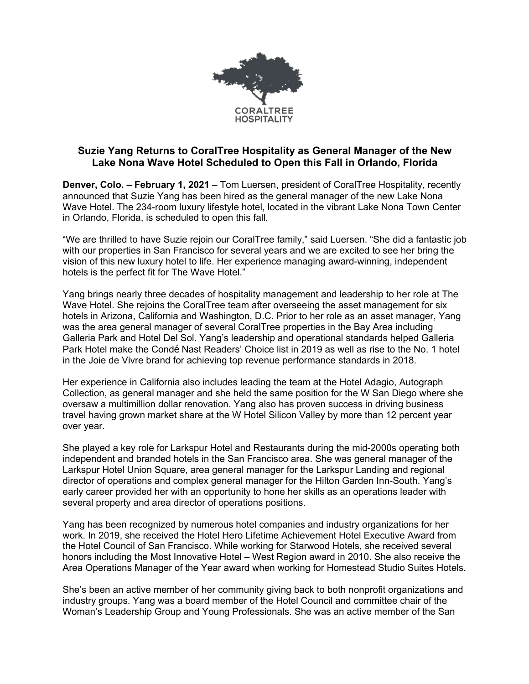

## **Suzie Yang Returns to CoralTree Hospitality as General Manager of the New Lake Nona Wave Hotel Scheduled to Open this Fall in Orlando, Florida**

**Denver, Colo. – February 1, 2021** – Tom Luersen, president of CoralTree Hospitality, recently announced that Suzie Yang has been hired as the general manager of the new Lake Nona Wave Hotel. The 234-room luxury lifestyle hotel, located in the vibrant Lake Nona Town Center in Orlando, Florida, is scheduled to open this fall.

"We are thrilled to have Suzie rejoin our CoralTree family," said Luersen. "She did a fantastic job with our properties in San Francisco for several years and we are excited to see her bring the vision of this new luxury hotel to life. Her experience managing award-winning, independent hotels is the perfect fit for The Wave Hotel."

Yang brings nearly three decades of hospitality management and leadership to her role at The Wave Hotel. She rejoins the CoralTree team after overseeing the asset management for six hotels in Arizona, California and Washington, D.C. Prior to her role as an asset manager, Yang was the area general manager of several CoralTree properties in the Bay Area including Galleria Park and Hotel Del Sol. Yang's leadership and operational standards helped Galleria Park Hotel make the Condé Nast Readers' Choice list in 2019 as well as rise to the No. 1 hotel in the Joie de Vivre brand for achieving top revenue performance standards in 2018.

Her experience in California also includes leading the team at the Hotel Adagio, Autograph Collection, as general manager and she held the same position for the W San Diego where she oversaw a multimillion dollar renovation. Yang also has proven success in driving business travel having grown market share at the W Hotel Silicon Valley by more than 12 percent year over year.

She played a key role for Larkspur Hotel and Restaurants during the mid-2000s operating both independent and branded hotels in the San Francisco area. She was general manager of the Larkspur Hotel Union Square, area general manager for the Larkspur Landing and regional director of operations and complex general manager for the Hilton Garden Inn-South. Yang's early career provided her with an opportunity to hone her skills as an operations leader with several property and area director of operations positions.

Yang has been recognized by numerous hotel companies and industry organizations for her work. In 2019, she received the Hotel Hero Lifetime Achievement Hotel Executive Award from the Hotel Council of San Francisco. While working for Starwood Hotels, she received several honors including the Most Innovative Hotel – West Region award in 2010. She also receive the Area Operations Manager of the Year award when working for Homestead Studio Suites Hotels.

She's been an active member of her community giving back to both nonprofit organizations and industry groups. Yang was a board member of the Hotel Council and committee chair of the Woman's Leadership Group and Young Professionals. She was an active member of the San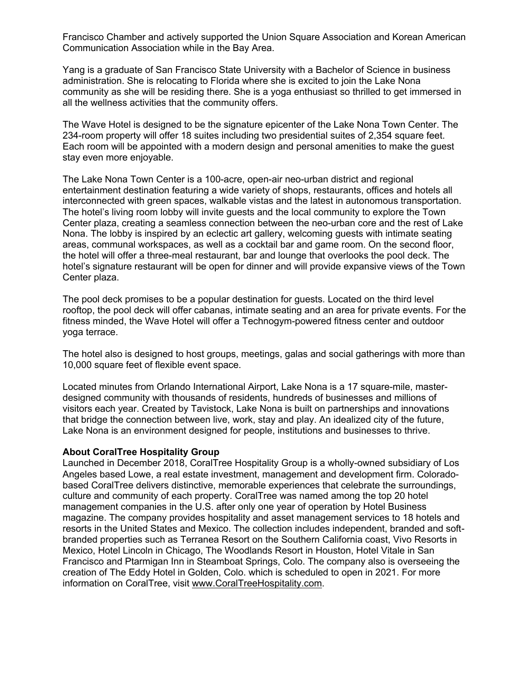Francisco Chamber and actively supported the Union Square Association and Korean American Communication Association while in the Bay Area.

Yang is a graduate of San Francisco State University with a Bachelor of Science in business administration. She is relocating to Florida where she is excited to join the Lake Nona community as she will be residing there. She is a yoga enthusiast so thrilled to get immersed in all the wellness activities that the community offers.

The Wave Hotel is designed to be the signature epicenter of the Lake Nona Town Center. The 234-room property will offer 18 suites including two presidential suites of 2,354 square feet. Each room will be appointed with a modern design and personal amenities to make the guest stay even more enjoyable.

The Lake Nona Town Center is a 100-acre, open-air neo-urban district and regional entertainment destination featuring a wide variety of shops, restaurants, offices and hotels all interconnected with green spaces, walkable vistas and the latest in autonomous transportation. The hotel's living room lobby will invite guests and the local community to explore the Town Center plaza, creating a seamless connection between the neo-urban core and the rest of Lake Nona. The lobby is inspired by an eclectic art gallery, welcoming guests with intimate seating areas, communal workspaces, as well as a cocktail bar and game room. On the second floor, the hotel will offer a three-meal restaurant, bar and lounge that overlooks the pool deck. The hotel's signature restaurant will be open for dinner and will provide expansive views of the Town Center plaza.

The pool deck promises to be a popular destination for guests. Located on the third level rooftop, the pool deck will offer cabanas, intimate seating and an area for private events. For the fitness minded, the Wave Hotel will offer a Technogym-powered fitness center and outdoor yoga terrace.

The hotel also is designed to host groups, meetings, galas and social gatherings with more than 10,000 square feet of flexible event space.

Located minutes from Orlando International Airport, Lake Nona is a 17 square-mile, masterdesigned community with thousands of residents, hundreds of businesses and millions of visitors each year. Created by Tavistock, Lake Nona is built on partnerships and innovations that bridge the connection between live, work, stay and play. An idealized city of the future, Lake Nona is an environment designed for people, institutions and businesses to thrive.

## **About CoralTree Hospitality Group**

Launched in December 2018, CoralTree Hospitality Group is a wholly-owned subsidiary of Los Angeles based Lowe, a real estate investment, management and development firm. Coloradobased CoralTree delivers distinctive, memorable experiences that celebrate the surroundings, culture and community of each property. CoralTree was named among the top 20 hotel management companies in the U.S. after only one year of operation by Hotel Business magazine. The company provides hospitality and asset management services to 18 hotels and resorts in the United States and Mexico. The collection includes independent, branded and softbranded properties such as Terranea Resort on the Southern California coast, Vivo Resorts in Mexico, Hotel Lincoln in Chicago, The Woodlands Resort in Houston, Hotel Vitale in San Francisco and Ptarmigan Inn in Steamboat Springs, Colo. The company also is overseeing the creation of The Eddy Hotel in Golden, Colo. which is scheduled to open in 2021. For more information on CoralTree, visit www.CoralTreeHospitality.com.